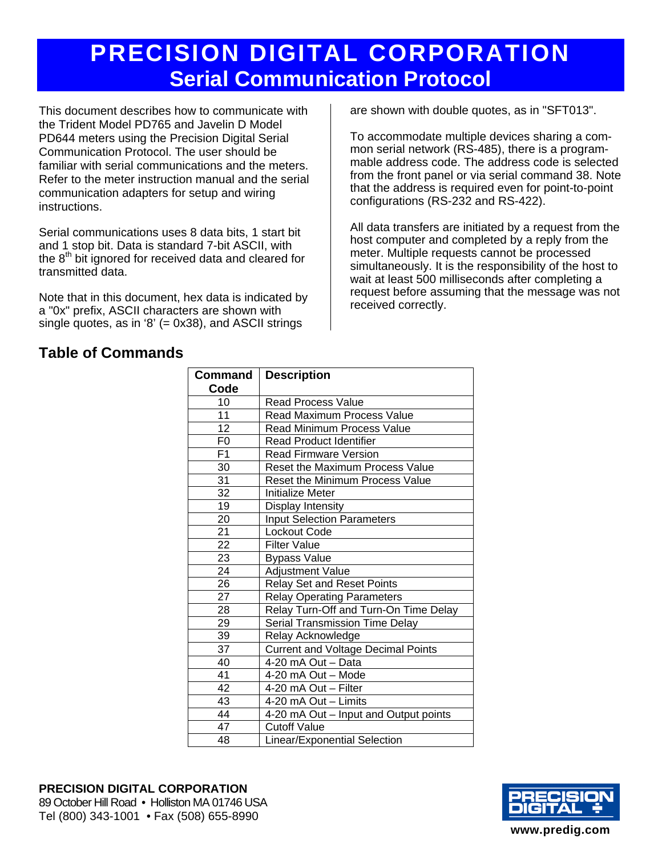# **PRECISION DIGITAL CORPORATION Serial Communication Protocol**

This document describes how to communicate with the Trident Model PD765 and Javelin D Model PD644 meters using the Precision Digital Serial Communication Protocol. The user should be familiar with serial communications and the meters. Refer to the meter instruction manual and the serial communication adapters for setup and wiring instructions.

Serial communications uses 8 data bits, 1 start bit and 1 stop bit. Data is standard 7-bit ASCII, with the 8<sup>th</sup> bit ignored for received data and cleared for transmitted data.

Note that in this document, hex data is indicated by a "0x" prefix, ASCII characters are shown with single quotes, as in '8'  $(= 0x38)$ , and ASCII strings

# **Table of Commands**

are shown with double quotes, as in "SFT013".

To accommodate multiple devices sharing a common serial network (RS-485), there is a programmable address code. The address code is selected from the front panel or via serial command 38. Note that the address is required even for point-to-point configurations (RS-232 and RS-422).

All data transfers are initiated by a request from the host computer and completed by a reply from the meter. Multiple requests cannot be processed simultaneously. It is the responsibility of the host to wait at least 500 milliseconds after completing a request before assuming that the message was not received correctly.

| Command         | <b>Description</b>                        |
|-----------------|-------------------------------------------|
| Code            |                                           |
| 10              | <b>Read Process Value</b>                 |
| 11              | <b>Read Maximum Process Value</b>         |
| 12              | <b>Read Minimum Process Value</b>         |
| F <sub>0</sub>  | <b>Read Product Identifier</b>            |
| F <sub>1</sub>  | <b>Read Firmware Version</b>              |
| 30              | <b>Reset the Maximum Process Value</b>    |
| 31              | Reset the Minimum Process Value           |
| 32              | Initialize Meter                          |
| 19              | Display Intensity                         |
| 20              | <b>Input Selection Parameters</b>         |
| 21              | Lockout Code                              |
| $\overline{22}$ | <b>Filter Value</b>                       |
| $\overline{23}$ | <b>Bypass Value</b>                       |
| 24              | <b>Adjustment Value</b>                   |
| 26              | <b>Relay Set and Reset Points</b>         |
| 27              | <b>Relay Operating Parameters</b>         |
| 28              | Relay Turn-Off and Turn-On Time Delay     |
| 29              | Serial Transmission Time Delay            |
| 39              | Relay Acknowledge                         |
| 37              | <b>Current and Voltage Decimal Points</b> |
| 40              | 4-20 mA Out - Data                        |
| 41              | 4-20 mA Out - Mode                        |
| 42              | 4-20 mA Out - Filter                      |
| 43              | 4-20 mA Out - Limits                      |
| 44              | 4-20 mA Out - Input and Output points     |
| 47              | <b>Cutoff Value</b>                       |
| 48              | Linear/Exponential Selection              |

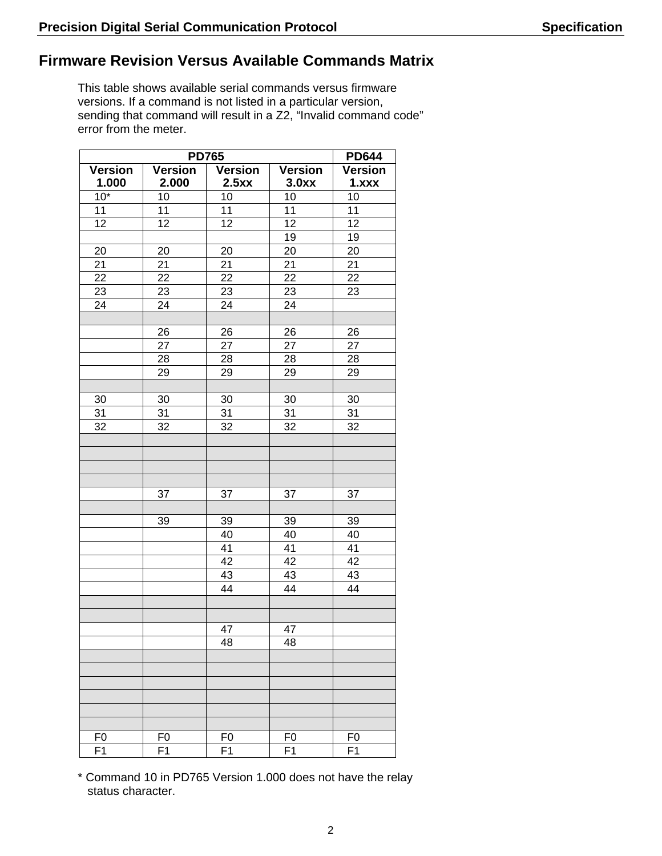# **Firmware Revision Versus Available Commands Matrix**

This table shows available serial commands versus firmware versions. If a command is not listed in a particular version, sending that command will result in a Z2, "Invalid command code" error from the meter.

|                |                | <b>PD765</b>   |                | <b>PD644</b>   |
|----------------|----------------|----------------|----------------|----------------|
| <b>Version</b> | <b>Version</b> | <b>Version</b> | <b>Version</b> | <b>Version</b> |
| 1.000          | 2.000          | 2.5xx          | 3.0xx          | 1.xxx          |
| $10*$          | 10             | 10             | 10             | 10             |
| 11             | 11             | 11             | 11             | 11             |
| 12             | 12             | 12             | 12             | 12             |
|                |                |                | 19             | 19             |
| 20             | 20             | 20             | 20             | $20\,$         |
| 21             | 21             | 21             | 21             | 21             |
| 22             | 22             | 22             | 22             | 22             |
| 23             | 23             | 23             | 23             | 23             |
| 24             | 24             | 24             | 24             |                |
|                |                |                |                |                |
|                | 26             | 26             | 26             | 26             |
|                | 27             | 27             | 27             | 27             |
|                | 28             | 28             | 28             | 28             |
|                | 29             | 29             | 29             | 29             |
|                |                |                |                |                |
| 30             | 30             | 30             | 30             | 30             |
| 31             | 31             | 31             | 31             | 31             |
| 32             | 32             | 32             | 32             | 32             |
|                |                |                |                |                |
|                |                |                |                |                |
|                |                |                |                |                |
|                |                |                |                |                |
|                | 37             | 37             | 37             | 37             |
|                |                |                |                |                |
|                | 39             | 39             | 39             | 39             |
|                |                | 40             | 40             | 40             |
|                |                | 41             | 41             | 41             |
|                |                | 42             | 42             | 42             |
|                |                | 43             | 43             | 43             |
|                |                | 44             | 44             | 44             |
|                |                |                |                |                |
|                |                |                |                |                |
|                |                | 47             | 47             |                |
|                |                | 48             | 48             |                |
|                |                |                |                |                |
|                |                |                |                |                |
|                |                |                |                |                |
|                |                |                |                |                |
|                |                |                |                |                |
|                |                |                |                |                |
| F <sub>0</sub> | F <sub>0</sub> | F <sub>0</sub> | F <sub>0</sub> | F <sub>0</sub> |
| F <sub>1</sub> | F <sub>1</sub> | F <sub>1</sub> | F <sub>1</sub> | F <sub>1</sub> |
|                |                |                |                |                |

\* Command 10 in PD765 Version 1.000 does not have the relay status character.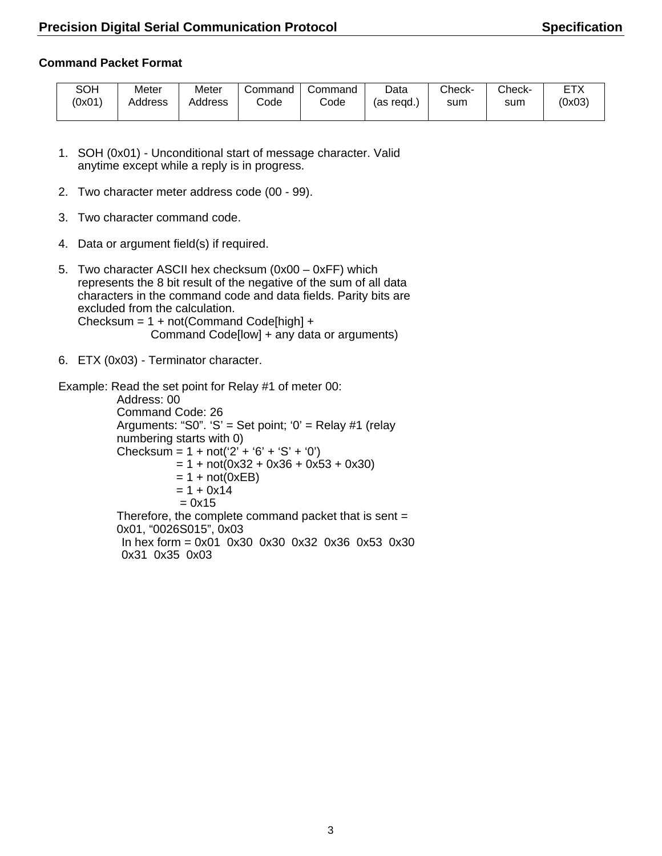### **Command Packet Format**

| SOH    | Meter   | Meter   | Command | Command | Data         | Check- | Check- | FTX<br>≀ |
|--------|---------|---------|---------|---------|--------------|--------|--------|----------|
| (0x01) | Address | Address | odeٽ    | Code    | read.<br>as: | sum    | sum    | (0x03)   |
|        |         |         |         |         |              |        |        |          |

- 1. SOH (0x01) Unconditional start of message character. Valid anytime except while a reply is in progress.
- 2. Two character meter address code (00 99).
- 3. Two character command code.
- 4. Data or argument field(s) if required.
- 5. Two character ASCII hex checksum (0x00 0xFF) which represents the 8 bit result of the negative of the sum of all data characters in the command code and data fields. Parity bits are excluded from the calculation. Checksum = 1 + not(Command Code[high] + Command Code[low] + any data or arguments)
- 6. ETX (0x03) Terminator character.

Example: Read the set point for Relay #1 of meter 00:

Address: 00 Command Code: 26 Arguments: "S0". 'S' = Set point; '0' = Relay #1 (relay numbering starts with 0) Checksum =  $1 + not('2' + '6' + 'S' + '0')$  $= 1 + \text{not}(0x32 + 0x36 + 0x53 + 0x30)$  $= 1 + not(0xEB)$  $= 1 + 0x14$  $= 0x15$ Therefore, the complete command packet that is sent = 0x01, "0026S015", 0x03 In hex form = 0x01 0x30 0x30 0x32 0x36 0x53 0x30 0x31 0x35 0x03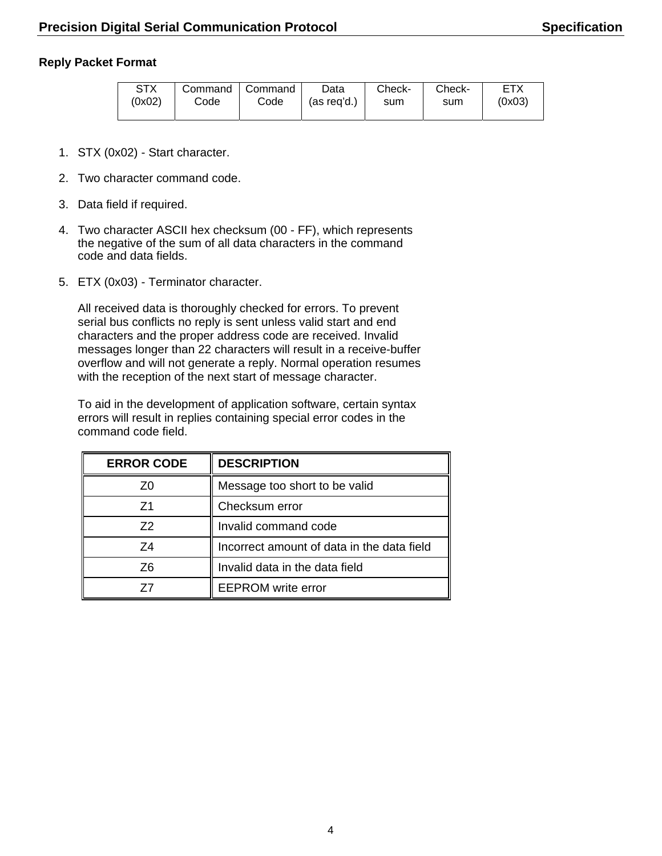### **Reply Packet Format**

| <b>STX</b><br>(0x02) | Command   Command<br>Code | Code | Data<br>(as reg'd.) | Check-<br>sum | Check-<br>sum | <b>ETX</b><br>(0x03) |
|----------------------|---------------------------|------|---------------------|---------------|---------------|----------------------|
|                      |                           |      |                     |               |               |                      |

- 1. STX (0x02) Start character.
- 2. Two character command code.
- 3. Data field if required.
- 4. Two character ASCII hex checksum (00 FF), which represents the negative of the sum of all data characters in the command code and data fields.
- 5. ETX (0x03) Terminator character.

All received data is thoroughly checked for errors. To prevent serial bus conflicts no reply is sent unless valid start and end characters and the proper address code are received. Invalid messages longer than 22 characters will result in a receive-buffer overflow and will not generate a reply. Normal operation resumes with the reception of the next start of message character.

To aid in the development of application software, certain syntax errors will result in replies containing special error codes in the command code field.

| <b>ERROR CODE</b> | <b>DESCRIPTION</b>                         |
|-------------------|--------------------------------------------|
| 70                | Message too short to be valid              |
| 71                | Checksum error                             |
| 72                | Invalid command code                       |
| 74                | Incorrect amount of data in the data field |
| Z6                | Invalid data in the data field             |
|                   | <b>EEPROM</b> write error                  |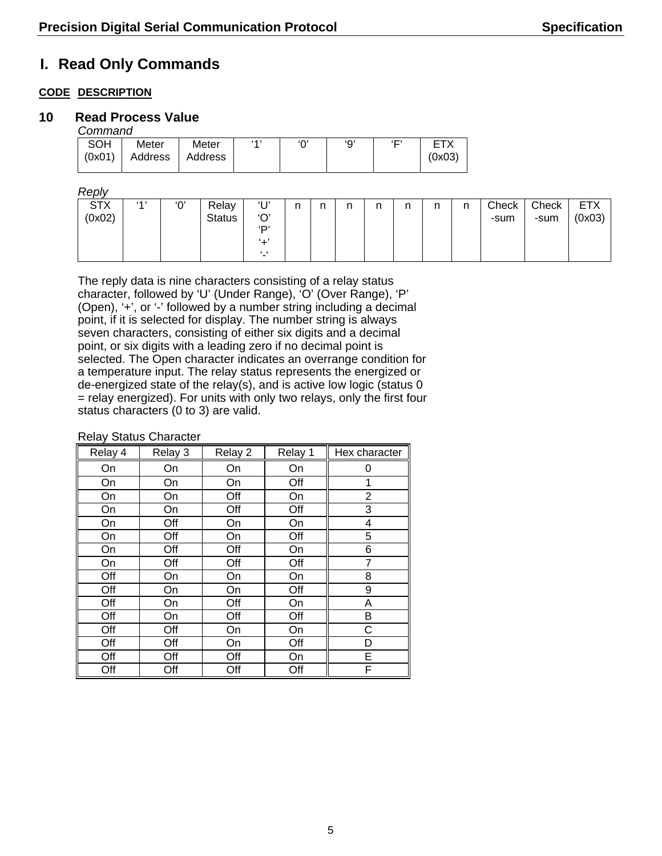# **I. Read Only Commands**

### **CODE DESCRIPTION**

### **10 Read Process Value**

*Command* 

| _ _                  |                  |                  |     |          |     |                     |                      |  |
|----------------------|------------------|------------------|-----|----------|-----|---------------------|----------------------|--|
| <b>SOH</b><br>(0x01) | Meter<br>Address | Meter<br>Address | (A) | $\Omega$ | 'Q' | $\epsilon$ $\Gamma$ | <b>FTY</b><br>(0x03) |  |
|                      |                  |                  |     |          |     |                     |                      |  |

*Reply* 

| עושסרו               |    |     |                        |                                                               |   |   |               |   |   |   |   |               |               |                      |
|----------------------|----|-----|------------------------|---------------------------------------------------------------|---|---|---------------|---|---|---|---|---------------|---------------|----------------------|
| <b>STX</b><br>(0x02) | 41 | ʹΟ, | Relay<br><b>Status</b> | $^{\prime}$ $\Gamma$<br>'O'<br><b>D'</b><br>. .<br>$\epsilon$ | n | n | $\sim$<br>. . | n | n | n | n | Check<br>-sum | Check<br>-sum | <b>ETX</b><br>(0x03) |
|                      |    |     |                        |                                                               |   |   |               |   |   |   |   |               |               |                      |

The reply data is nine characters consisting of a relay status character, followed by 'U' (Under Range), 'O' (Over Range), 'P' (Open), '+', or '-' followed by a number string including a decimal point, if it is selected for display. The number string is always seven characters, consisting of either six digits and a decimal point, or six digits with a leading zero if no decimal point is selected. The Open character indicates an overrange condition for a temperature input. The relay status represents the energized or de-energized state of the relay(s), and is active low logic (status 0 = relay energized). For units with only two relays, only the first four status characters (0 to 3) are valid.

| Relay 4 | Relay 3 | Relay 2 | Relay 1 | Hex character |
|---------|---------|---------|---------|---------------|
| On      | On      | On      | On      | 0             |
| On      | On      | On      | Off     | 1             |
| On      | On      | Off     | On      | 2             |
| On      | On      | Off     | Off     | 3             |
| On      | Off     | On      | On      | 4             |
| On      | Off     | On      | Off     | 5             |
| On      | Off     | Off     | On      | 6             |
| On      | Off     | Off     | Off     | 7             |
| Off     | On      | On      | On      | 8             |
| Off     | On      | On      | Off     | 9             |
| Off     | On      | Off     | On      | A             |
| Off     | On      | Off     | Off     | Β             |
| Off     | Off     | On      | On      | С             |
| Off     | Off     | On      | Off     | D             |
| Off     | Off     | Off     | On      | Е             |
| Off     | Off     | Off     | Off     | F             |

Relay Status Character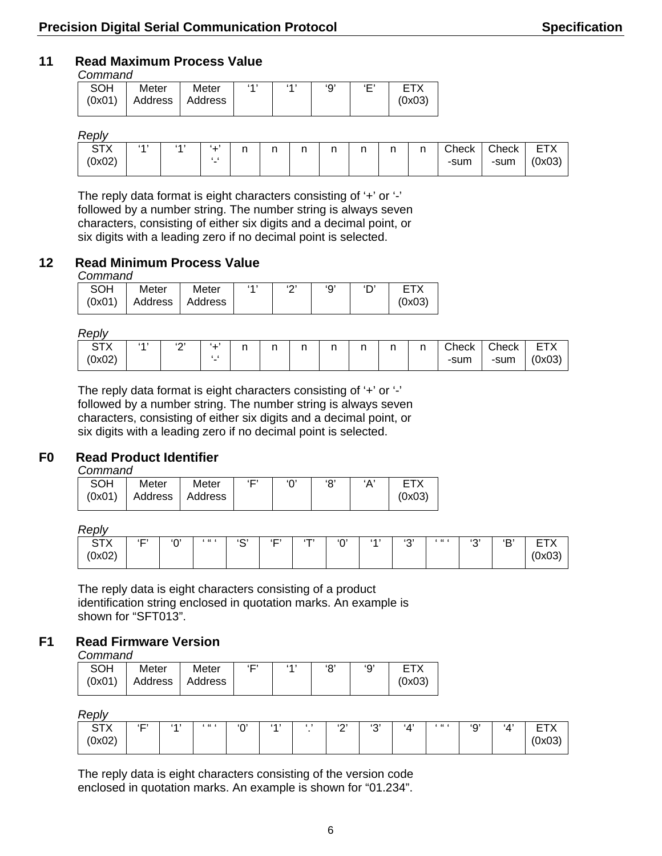### **11 Read Maximum Process Value**

#### *Command*

| SOH    | Meter             | Meter | (A) | (A) | 'О' | $\Gamma$ |        |
|--------|-------------------|-------|-----|-----|-----|----------|--------|
| (0x01) | Address I Address |       |     |     |     |          | (0x03) |
|        |                   |       |     |     |     |          |        |

#### *Reply*

| 110011                  |    |     |                    |               |        |               |    |               |          |               |               |               |                                |
|-------------------------|----|-----|--------------------|---------------|--------|---------------|----|---------------|----------|---------------|---------------|---------------|--------------------------------|
| $\Gamma$<br>ັ<br>(0x02) | AA | (A) | $\sim$<br>- 1<br>- | $\sim$<br>. . | $\sim$ | $\sim$<br>. . | ×, | $\sim$<br>. . | n<br>. . | $\sim$<br>. . | Check<br>-sum | Check<br>-sum | <b>ETY</b><br>⌒<br>-<br>(0x03) |

The reply data format is eight characters consisting of '+' or '-' followed by a number string. The number string is always seven characters, consisting of either six digits and a decimal point, or six digits with a leading zero if no decimal point is selected.

### **12 Read Minimum Process Value**

#### *Command*

| SOH | Meter                      | Meter | 6 A I | $\sim$ | ٠o |        |
|-----|----------------------------|-------|-------|--------|----|--------|
|     | $(0x01)$ Address   Address |       |       |        |    | (0x03) |

*Reply* 

| CTV<br>$\lambda$<br>(0x02) | (A) | (0, 1)<br>- | .<br>- | . . | ∽<br> | n<br>. . | r<br>. . | r<br> | $\sim$<br>. . | ∽ | $\cap$ heck<br>-sum | Check<br>-sum | $- - \cdot$<br>-<br>–<br>$\cdots$<br>(0x03) |
|----------------------------|-----|-------------|--------|-----|-------|----------|----------|-------|---------------|---|---------------------|---------------|---------------------------------------------|
|----------------------------|-----|-------------|--------|-----|-------|----------|----------|-------|---------------|---|---------------------|---------------|---------------------------------------------|

The reply data format is eight characters consisting of '+' or '-' followed by a number string. The number string is always seven characters, consisting of either six digits and a decimal point, or six digits with a leading zero if no decimal point is selected.

### **F0 Read Product Identifier**

*Command* 

| SOH | Meter | Meter                      | '⊐ ' |  | 'Α' | <b>FTX</b> |
|-----|-------|----------------------------|------|--|-----|------------|
|     |       | (0x01)   Address   Address |      |  |     | (0x03)     |
|     |       |                            |      |  |     |            |

*Reply* 

| .                  |            |
|--------------------|------------|
| $\sim$             | D          |
| $\left( - \right)$ | (0,1)      |
| $\Gamma$           | (0,1)      |
| $66 - 6$           | $\Omega$   |
| $\Gamma$           | $1.16 - 6$ |
| $\sim$             | et al.     |
| (T)                | AA         |
| -                  | ▫          |
| $\sqrt{ }$         | ັ          |
| ັ                  | ັ          |
| $n \cdot n$        | _          |
| UAUZ 1             | $\sim$     |

The reply data is eight characters consisting of a product identification string enclosed in quotation marks. An example is shown for "SFT013".

### **F1 Read Firmware Version**

*Command* 

| SOH | Meter                        | Meter | $\Gamma$ | (A) | $\Omega$ | <b>ETX</b> |
|-----|------------------------------|-------|----------|-----|----------|------------|
|     | $(0x01)$   Address   Address |       |          |     |          | (0x03)     |

*Reply* 

| 110V                                            |     |    |          |             |     |             |             |                   |                  |             |     |                        |
|-------------------------------------------------|-----|----|----------|-------------|-----|-------------|-------------|-------------------|------------------|-------------|-----|------------------------|
| $\Gamma$<br>$\sim$<br>$\sim$<br>$\sim$<br>UXUZ. | ٠⊏٬ | AA | $66 - 6$ | $\sim$<br>╰ | (A) | (0, 1)<br>- | (0, 1)<br>ີ | $\cdot$ / $\cdot$ | $\epsilon$ and a | $\sim$<br>ັ | 'Δ' | $- - -$<br>-<br>$\sim$ |

The reply data is eight characters consisting of the version code enclosed in quotation marks. An example is shown for "01.234".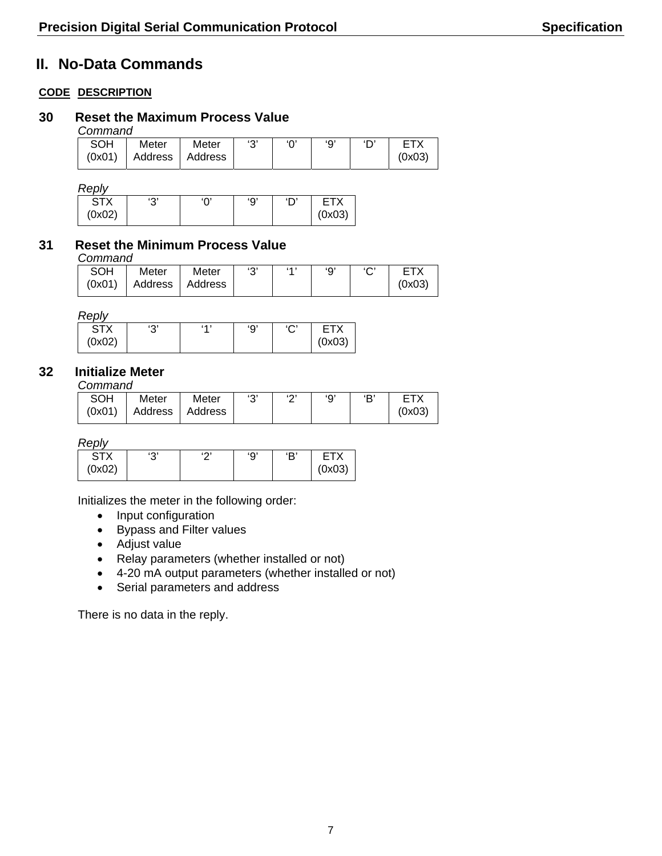# **II. No-Data Commands**

### **CODE DESCRIPTION**

### **30 Reset the Maximum Process Value**

*Command* 

| _ _        |         |         |       |        |     |     |        |
|------------|---------|---------|-------|--------|-----|-----|--------|
| <b>SOH</b> | Meter   | Meter   | د د ، | $\sim$ | 'О' | ירו | ⊏⊤∨    |
| (0x01)     | Address | Address |       |        |     |     | (0x03) |

*Reply* 

| د ۲۰<br>◡ | יהי<br>◡ | '9' | $\sim$ | ГX     |
|-----------|----------|-----|--------|--------|
|           |          |     |        | (0x03) |
|           |          |     |        |        |

### **31 Reset the Minimum Process Value**

*Command* 

| <b>SOH</b> | Meter                    | Meter | ເລະ | (A) | 'О' | $\sim$ |        |
|------------|--------------------------|-------|-----|-----|-----|--------|--------|
|            | $(0x01)$ Address Address |       |     |     |     |        | (0x03) |

*Reply* 

| , , , , , , |           |     |          |             |            |
|-------------|-----------|-----|----------|-------------|------------|
| CTV         | د ۲۰<br>ັ | (4) | 'Ω'<br>◡ | $\sim$<br>ັ | <b>CTV</b> |
| (0x02)      |           |     |          |             | (0x03)     |

### **32 Initialize Meter**

*Command* 

| ----------- |                   |       |       |             |     |     |        |
|-------------|-------------------|-------|-------|-------------|-----|-----|--------|
| SOH         | Meter             | Meter | د د ، | $\sim$<br>- | 'О' | : ت |        |
| (0x01)      | Address   Address |       |       |             |     |     | (0x03) |

*Reply* 

| $\sim$ TV<br>$\overline{1}$ | ده،<br>ັ | (0) | 'Ω'<br>J | Έ |        |
|-----------------------------|----------|-----|----------|---|--------|
| (0x02)                      |          |     |          |   | (0x03) |

Initializes the meter in the following order:

- Input configuration
- Bypass and Filter values
- Adjust value
- Relay parameters (whether installed or not)
- 4-20 mA output parameters (whether installed or not)
- Serial parameters and address

There is no data in the reply.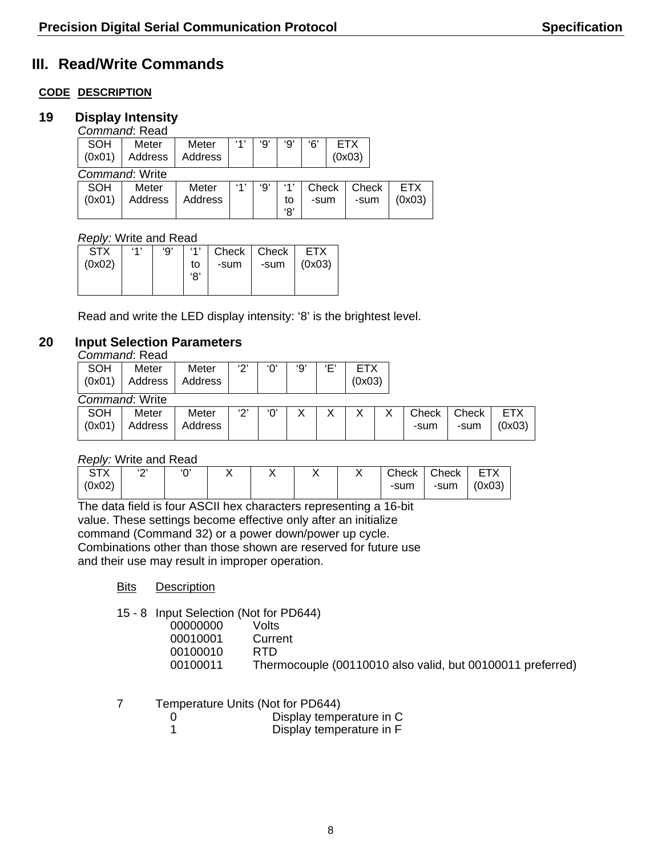# **III. Read/Write Commands**

### **CODE DESCRIPTION**

### **19 Display Intensity**

|            | Command: Read  |         |     |    |     |       |  |            |  |        |  |
|------------|----------------|---------|-----|----|-----|-------|--|------------|--|--------|--|
| <b>SOH</b> | Meter          | Meter   | ٬۹۱ | '9 | و'  | '6'   |  | <b>ETX</b> |  |        |  |
| (0x01)     | Address        | Address |     |    |     |       |  | (0x03)     |  |        |  |
|            | Command: Write |         |     |    |     |       |  |            |  |        |  |
| SOH        | Meter          | Meter   | 41  | '9 | '1' | Check |  | Check      |  | ETX.   |  |
| (0x01)     | Address        | Address |     |    | to  | -sum  |  | -sum       |  | (0x03) |  |
|            |                |         |     |    | '8' |       |  |            |  |        |  |

### *Reply:* Write and Read

| <b>STX</b><br>(0x02) | 41 | ʻQ' | 41<br>to<br>'8' | Check   Check  <br>-sum | -sum | <b>ETX</b><br>(0x03) |
|----------------------|----|-----|-----------------|-------------------------|------|----------------------|
|                      |    |     |                 |                         |      |                      |

Read and write the LED display intensity: '8' is the brightest level.

### **20 Input Selection Parameters**

*Command*: Read

| SOH    | Meter          | Meter   | د ۲۰ | 'Ο' | '9' | Έ' | <b>ETX</b> |       |       |            |
|--------|----------------|---------|------|-----|-----|----|------------|-------|-------|------------|
| (0x01) | Address        | Address |      |     |     |    | (0x03)     |       |       |            |
|        | Command: Write |         |      |     |     |    |            |       |       |            |
| SOH    | Meter          | Meter   | יכי  | 'Ο' | X   |    | Χ          | Check | Check | <b>ETX</b> |
| (0x01) | Address        | Address |      |     |     |    |            | -sum  | -sum  | (0x03)     |
|        |                |         |      |     |     |    |            |       |       |            |

#### *Reply:* Write and Read

| $\sim$ TV<br>$\sqrt{ }$ | (0, 1)<br>- | $\sim$ |  |  | Check | Check | <b>ETX</b> |
|-------------------------|-------------|--------|--|--|-------|-------|------------|
| (0x02)                  |             |        |  |  | -sum  | -sum  | (0x03)     |
|                         |             |        |  |  |       |       |            |

The data field is four ASCII hex characters representing a 16-bit value. These settings become effective only after an initialize command (Command 32) or a power down/power up cycle. Combinations other than those shown are reserved for future use and their use may result in improper operation.

- **Bits Description**
- 15 8 Input Selection (Not for PD644)

| 00000000 | Volts                                                      |
|----------|------------------------------------------------------------|
| 00010001 | Current                                                    |
| 00100010 | RTD.                                                       |
| 00100011 | Thermocouple (00110010 also valid, but 00100011 preferred) |
|          |                                                            |

7 Temperature Units (Not for PD644)

| Display temperature in C |
|--------------------------|
| Display temperature in F |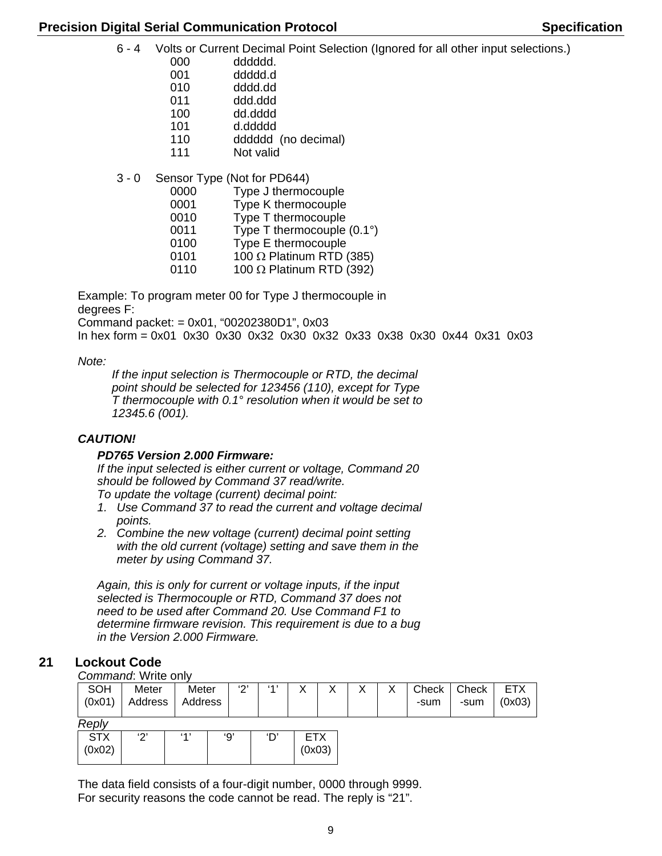6 - 4 Volts or Current Decimal Point Selection (Ignored for all other input selections.)

000 dddddd.

- 001 ddddd.d
- 010 dddd.dd
- 011 ddd.ddd
- 100 dd.dddd
- 101 d.ddddd
- 110 dddddd (no decimal)
- 111 Not valid
- 3 0 Sensor Type (Not for PD644)
	- 0000 Type J thermocouple
	- 0001 Type K thermocouple
	- 0010 Type T thermocouple
	- 0011 Type T thermocouple (0.1°)
	- 0100 Type E thermocouple
	- 0101  $100 \Omega$  Platinum RTD (385)
	- 0110 100 Ω Platinum RTD (392)

Example: To program meter 00 for Type J thermocouple in degrees F:

Command packet: = 0x01, "00202380D1", 0x03

In hex form = 0x01 0x30 0x30 0x32 0x30 0x32 0x33 0x38 0x30 0x44 0x31 0x03

*Note:* 

*If the input selection is Thermocouple or RTD, the decimal point should be selected for 123456 (110), except for Type T thermocouple with 0.1° resolution when it would be set to 12345.6 (001).* 

### *CAUTION!*

### *PD765 Version 2.000 Firmware:*

*If the input selected is either current or voltage, Command 20 should be followed by Command 37 read/write.* 

- *To update the voltage (current) decimal point:*
- *1. Use Command 37 to read the current and voltage decimal points.*
- *2. Combine the new voltage (current) decimal point setting with the old current (voltage) setting and save them in the meter by using Command 37.*

*Again, this is only for current or voltage inputs, if the input selected is Thermocouple or RTD, Command 37 does not need to be used after Command 20. Use Command F1 to determine firmware revision. This requirement is due to a bug in the Version 2.000 Firmware.* 

### **21 Lockout Code**

*Command*: Write only

| <b>SOH</b><br>(0x01) | Meter<br>Address      | Meter<br>Address | יפי | 41  |                      | X | Х | Check<br>-sum | Check<br>-sum | <b>ETX</b><br>(0x03) |
|----------------------|-----------------------|------------------|-----|-----|----------------------|---|---|---------------|---------------|----------------------|
| Reply                |                       |                  |     |     |                      |   |   |               |               |                      |
| <b>STX</b><br>(0x02) | $^{\prime}2^{\prime}$ | 41               | '9' | 'D' | <b>ETX</b><br>(0x03) |   |   |               |               |                      |

The data field consists of a four-digit number, 0000 through 9999. For security reasons the code cannot be read. The reply is "21".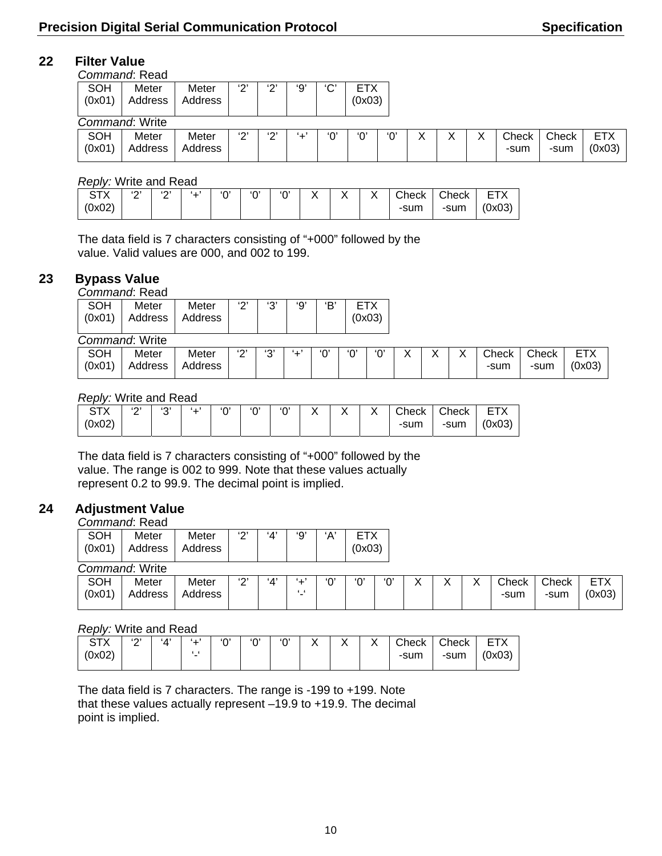### **22 Filter Value**

|                      | Command: Read    |                  |               |             |     |           |                      |     |  |               |               |                      |
|----------------------|------------------|------------------|---------------|-------------|-----|-----------|----------------------|-----|--|---------------|---------------|----------------------|
| <b>SOH</b><br>(0x01) | Meter<br>Address | Meter<br>Address | $\Omega$<br>۷ | ا (م)<br>←  | '9' | د م،<br>◡ | <b>ETX</b><br>(0x03) |     |  |               |               |                      |
|                      | Command: Write   |                  |               |             |     |           |                      |     |  |               |               |                      |
| <b>SOH</b><br>(0x01) | Meter<br>Address | Meter<br>Address | $\sim$<br>∠   | $\sim$<br>∠ | '∸' | ʹΟ        | ʹΟ'                  | 'Ο' |  | Check<br>-sum | Check<br>-sum | <b>ETX</b><br>(0x03) |

#### *Reply:* Write and Read

| ------- |             | --------------- |          |     |     |     |             |              |       |       |            |
|---------|-------------|-----------------|----------|-----|-----|-----|-------------|--------------|-------|-------|------------|
|         | $\sim$<br>- | د ۱<br>-        | $\cdots$ | '∩' | '0' | 'በ' | $\check{ }$ | $\checkmark$ | Check | Check | <b>ETY</b> |
| (0x02)  |             |                 |          |     |     |     |             |              | -sum  | -sum  | (0x03)     |

The data field is 7 characters consisting of "+000" followed by the value. Valid values are 000, and 002 to 199.

### **23 Bypass Value**

*Command*: Read

| <b>SOH</b><br>(0x01) | Meter<br>Address | Meter<br>Address | ເຕະ    | ່າງາ<br>ັ   | '9'      | 'В'      |     | ETX<br>(0x03) |                   |        |        |               |               |                      |
|----------------------|------------------|------------------|--------|-------------|----------|----------|-----|---------------|-------------------|--------|--------|---------------|---------------|----------------------|
|                      | Command: Write   |                  |        |             |          |          |     |               |                   |        |        |               |               |                      |
| SOH<br>(0x01)        | Meter<br>Address | Meter<br>Address | $\sim$ | (0, 1)<br>J | $\cdots$ | $\Omega$ | 'Ο' | ʹΟ,           | $\checkmark$<br>⋏ | v<br>∧ | v<br>⌒ | Check<br>-sum | Check<br>-sum | <b>ETX</b><br>(0x03) |

#### *Reply:* Write and Read

| $-1$<br>$\sqrt{ }$<br>ັ | $\sim$<br>— | $\sim$<br>ັ | ده، | $\Omega$ | $\sim$ | $\cdot$<br>↗ | $\cdot$ | $\cdot$<br>, , | Check | Check | $- - \cdot$<br>- |
|-------------------------|-------------|-------------|-----|----------|--------|--------------|---------|----------------|-------|-------|------------------|
| (0x02)                  |             |             |     |          |        |              |         |                | -sum  | -sum  | (0x03)           |

The data field is 7 characters consisting of "+000" followed by the value. The range is 002 to 999. Note that these values actually represent 0.2 to 99.9. The decimal point is implied.

### **24 Adjustment Value**

### *Command*: Read

| <b>SOH</b><br>(0x01)        | Meter<br>Address | Meter<br>Address | د (۲۰  | 'Δ'           | '9' | ʻA'    | ETX<br>(0x03) |        |
|-----------------------------|------------------|------------------|--------|---------------|-----|--------|---------------|--------|
|                             | Command: Write   |                  |        |               |     |        |               |        |
| $\sim$ $\sim$ $\sim$ $\sim$ |                  | .                | $\sim$ | $\epsilon$ as |     | $\sim$ | $\sim$        | $\sim$ |

| SOH<br>(0x01) | _ _<br>Meter<br><b>ddress</b> | Meter<br>Address | (0, 1)<br>_ | $\cdot$ 4' | - | n | '∩' | '∩' | $\ddot{\phantom{1}}$ |  |  | Check<br>-sum<br>$\sim$ $\sim$ | Check<br>-sum | $- - -$<br>-<br>-<br>(0x03) |
|---------------|-------------------------------|------------------|-------------|------------|---|---|-----|-----|----------------------|--|--|--------------------------------|---------------|-----------------------------|
|---------------|-------------------------------|------------------|-------------|------------|---|---|-----|-----|----------------------|--|--|--------------------------------|---------------|-----------------------------|

#### *Reply:* Write and Read

| ∧ ا ت  | $\sim$<br><u>_</u> | $\cdot$ $\Lambda$ |   | $\sim$ | $\sim$ | $\sim$ | $\checkmark$ | $\cdot$ | Check | Check | et the second second second and con-<br>⊢ I |
|--------|--------------------|-------------------|---|--------|--------|--------|--------------|---------|-------|-------|---------------------------------------------|
| (0x02) |                    |                   | - |        |        |        |              |         | -sum  | -sum  | (0x03)                                      |

The data field is 7 characters. The range is -199 to +199. Note that these values actually represent –19.9 to +19.9. The decimal point is implied.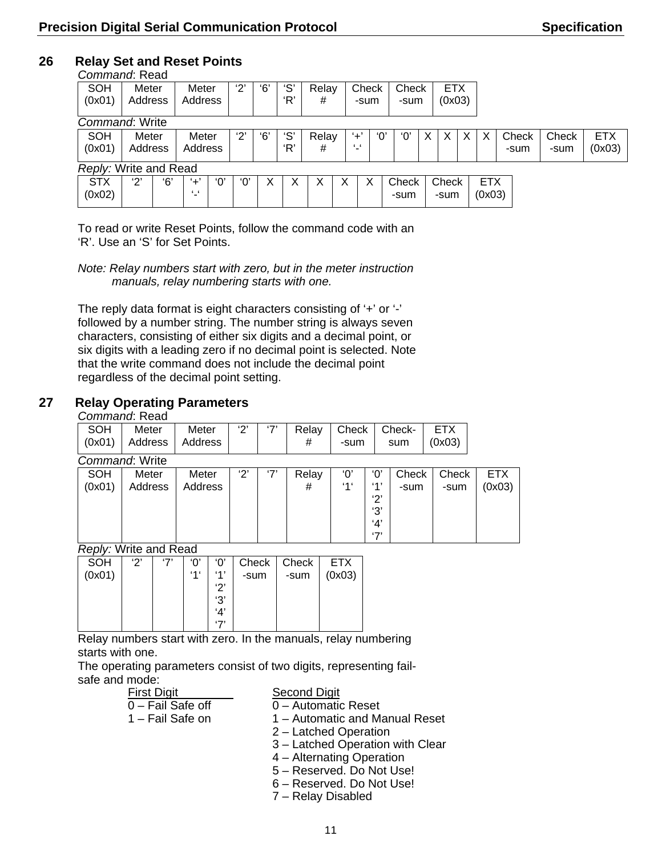#### **26 Relay Set and Reset Points**  *Command*: Read

| Commana. Read         |         |     |                 |     |                       |     |     |       |   |       |     |       |            |            |       |       |            |
|-----------------------|---------|-----|-----------------|-----|-----------------------|-----|-----|-------|---|-------|-----|-------|------------|------------|-------|-------|------------|
| <b>SOH</b>            | Meter   |     | Meter           |     | '2'                   | '6' | ʻS' | Relay |   | Check |     | Check | <b>ETX</b> |            |       |       |            |
| (0x01)                | Address |     | Address         |     |                       |     | 'R' | #     |   | -sum  |     | -sum  | (0x03)     |            |       |       |            |
|                       |         |     |                 |     |                       |     |     |       |   |       |     |       |            |            |       |       |            |
| Command: Write        |         |     |                 |     |                       |     |     |       |   |       |     |       |            |            |       |       |            |
| SOH                   | Meter   |     | Meter           |     | $^{\prime}2^{\prime}$ | '6' | ʻS' | Relay |   | $+$ ' | 'በ' | ʹΟ    | X          | Х          | Check | Check | <b>ETX</b> |
| (0x01)                | Address |     | Address         |     |                       |     | 'R' | #     |   | £     |     |       |            |            | -sum  | -sum  | (0x03)     |
|                       |         |     |                 |     |                       |     |     |       |   |       |     |       |            |            |       |       |            |
| Reply: Write and Read |         |     |                 |     |                       |     |     |       |   |       |     |       |            |            |       |       |            |
| <b>STX</b>            | '2'     | '6' | '+'             | '0' | 'ቦ'                   | X   |     |       | X | X     |     | Check | Check      | <b>ETX</b> |       |       |            |
| (0x02)                |         |     | $\cdot$ $\cdot$ |     |                       |     |     |       |   |       |     | -sum  | -sum       | (0x03)     |       |       |            |
|                       |         |     |                 |     |                       |     |     |       |   |       |     |       |            |            |       |       |            |

To read or write Reset Points, follow the command code with an 'R'. Use an 'S' for Set Points.

*Note: Relay numbers start with zero, but in the meter instruction manuals, relay numbering starts with one.* 

The reply data format is eight characters consisting of '+' or '-' followed by a number string. The number string is always seven characters, consisting of either six digits and a decimal point, or six digits with a leading zero if no decimal point is selected. Note that the write command does not include the decimal point regardless of the decimal point setting.

### **27 Relay Operating Parameters**

### *Command*: Read

|            | <u>ovimiaid. Isoaa</u>          |         |     |     |       |       |         |        |            |            |
|------------|---------------------------------|---------|-----|-----|-------|-------|---------|--------|------------|------------|
| <b>SOH</b> | Meter                           | Meter   | '2' | '7' | Relay | Check |         | Check- | <b>ETX</b> |            |
| (0x01)     | Address                         | Address |     |     | #     | -sum  |         | sum    | (0x03)     |            |
|            | Command: Write                  |         |     |     |       |       |         |        |            |            |
| <b>SOH</b> | Meter                           | Meter   | '2' | '7' | Relay | 'Ο'   | 'Ο'     | Check  | Check      | <b>ETX</b> |
| (0x01)     | Address                         | Address |     |     | #     | '1'   | (4)     | -sum   | -sum       | (0x03)     |
|            |                                 |         |     |     |       |       | 2'      |        |            |            |
|            |                                 |         |     |     |       |       | '3'     |        |            |            |
|            |                                 |         |     |     |       |       | 4'      |        |            |            |
|            |                                 |         |     |     |       |       | $5 - 7$ |        |            |            |
|            | $D$ sisku Waits sissl $D$ ssisk |         |     |     |       |       |         |        |            |            |

*Reply:* Write and Read

| יפי | '7' | 'በ' | 'Ο' | Check | Check | <b>ETX</b> |
|-----|-----|-----|-----|-------|-------|------------|
|     |     | 446 | 41  | -sum  | -sum  | (0x03)     |
|     |     |     | ירי |       |       |            |
|     |     |     | '3' |       |       |            |
|     |     |     | 'Δ' |       |       |            |
|     |     |     | (7) |       |       |            |
|     |     |     |     |       |       |            |

Relay numbers start with zero. In the manuals, relay numbering starts with one.

The operating parameters consist of two digits, representing failsafe and mode:

| <b>First Digit</b> |  |
|--------------------|--|
| 0 – Fail Safe off  |  |
| 1 – Fail Safe on   |  |
|                    |  |

Second Digit

 $0 -$  Automatic Reset

1 – Automatic and Manual Reset

- 2 Latched Operation
- 3 Latched Operation with Clear
- 4 Alternating Operation
- 5 Reserved. Do Not Use!
- 6 Reserved. Do Not Use!
- 7 Relay Disabled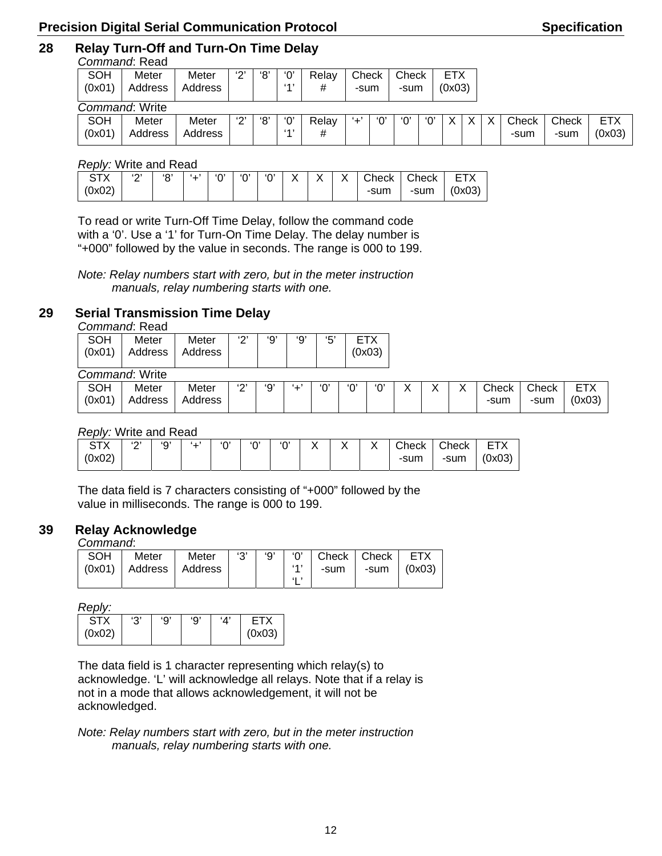# **28 Relay Turn-Off and Turn-On Time Delay**

|            | Command: Read  |         |                       |     |    |       |       |     |       |     |        |  |       |       |            |
|------------|----------------|---------|-----------------------|-----|----|-------|-------|-----|-------|-----|--------|--|-------|-------|------------|
| <b>SOH</b> | Meter          | Meter   | 2'                    | '8' | ۰Ό | Relav | Check |     | Check |     | ETX    |  |       |       |            |
| (0x01)     | Address        | Address |                       |     | 41 | #     | -sum  |     | -sum  |     | (0x03) |  |       |       |            |
|            |                |         |                       |     |    |       |       |     |       |     |        |  |       |       |            |
|            | Command: Write |         |                       |     |    |       |       |     |       |     |        |  |       |       |            |
| <b>SOH</b> | Meter          | Meter   | $^{\prime}2^{\prime}$ | '8' | ۰Ό | Relav | '+'   | 'Ο' | '0'   | '0' |        |  | Check | Check | <b>ETX</b> |
| (0x01)     | Address        | Address |                       |     | 41 | #     |       |     |       |     |        |  | -sum  | -sum  | (0x03)     |
|            |                |         |                       |     |    |       |       |     |       |     |        |  |       |       |            |

*Reply:* Write and Read

To read or write Turn-Off Time Delay, follow the command code with a '0'. Use a '1' for Turn-On Time Delay. The delay number is "+000" followed by the value in seconds. The range is 000 to 199.

*Note: Relay numbers start with zero, but in the meter instruction manuals, relay numbering starts with one.* 

### **29 Serial Transmission Time Delay**

*Command*: Read

| <b>SOH</b> | Meter          | Meter   | د م،<br>ے   | '9' | '9' | '5'      |     | <b>ETX</b> |   |        |        |       |       |            |
|------------|----------------|---------|-------------|-----|-----|----------|-----|------------|---|--------|--------|-------|-------|------------|
| (0x01)     | Address        | Address |             |     |     |          |     | (0x03)     |   |        |        |       |       |            |
|            |                |         |             |     |     |          |     |            |   |        |        |       |       |            |
|            | Command: Write |         |             |     |     |          |     |            |   |        |        |       |       |            |
| SOH        | Meter          | Meter   | $\sim$<br>▃ | '9' | .   | $\Omega$ | ʹΟ, | ʹΟ'        | ∧ | v<br>∧ | v<br>∧ | Check | Check | <b>ETX</b> |
| (0x01)     | Address        | Address |             |     |     |          |     |            |   |        |        | -sum  | -sum  | (0x03)     |
|            |                |         |             |     |     |          |     |            |   |        |        |       |       |            |

*Reply:* Write and Read

| ᠇៴<br>◡╷∧ | (0, 1)<br>-<br>– | 'Ω'<br>ັ | . . | $\Omega$ | $\Omega$ | $\sim$ | $\checkmark$<br>∧ | $\checkmark$<br>↗ | $\sqrt{}$<br>∧ | $\cap$ heck | Check | $- - \cdot$<br>⊢ |
|-----------|------------------|----------|-----|----------|----------|--------|-------------------|-------------------|----------------|-------------|-------|------------------|
| (0x02)    |                  |          |     |          |          |        |                   |                   |                | -sum        | -sum  | (0x03)           |

The data field is 7 characters consisting of "+000" followed by the value in milliseconds. The range is 000 to 199.

### **39 Relay Acknowledge**

*Command*:

| SOH | Meter | Meter   '3'   '9'   '0'   Check   Check   ETX |  |                              |  |
|-----|-------|-----------------------------------------------|--|------------------------------|--|
|     |       | (0x01)   Address   Address                    |  | '1'   -sum   -sum   $(0x03)$ |  |
|     |       |                                               |  |                              |  |

*Reply:*

| ST)    | پي، | יהי | '9' | '۸۰ |        |
|--------|-----|-----|-----|-----|--------|
| (0x02) |     |     |     |     | (0x03) |

The data field is 1 character representing which relay(s) to acknowledge. 'L' will acknowledge all relays. Note that if a relay is not in a mode that allows acknowledgement, it will not be acknowledged.

*Note: Relay numbers start with zero, but in the meter instruction manuals, relay numbering starts with one.*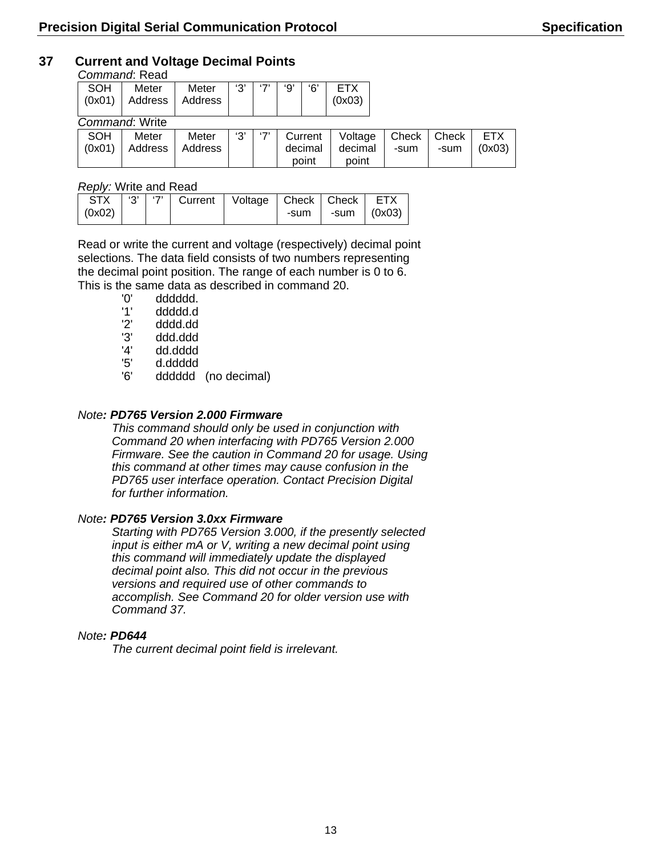### **37 Current and Voltage Decimal Points**

#### *Command*: Read

|        | ------------------ |         |     |         |     |     |        |  |  |  |  |  |  |
|--------|--------------------|---------|-----|---------|-----|-----|--------|--|--|--|--|--|--|
| SOH    | Meter              | Meter   | '3' | $5 - 7$ | ٠Ω' | 'ና' |        |  |  |  |  |  |  |
| (0x01) | Address            | Address |     |         |     |     | (0x03) |  |  |  |  |  |  |
|        |                    |         |     |         |     |     |        |  |  |  |  |  |  |
|        | Command: Write     |         |     |         |     |     |        |  |  |  |  |  |  |

| SOH | Meter                    | Meter | '3' L | '7'   Current | Voltage   Check   Check |      |      | <b>ETX</b> |
|-----|--------------------------|-------|-------|---------------|-------------------------|------|------|------------|
|     | $(0x01)$ Address Address |       |       | decimal       | decimal                 | -sum | -sum | (0x03)     |
|     |                          |       |       | point         | point                   |      |      |            |

#### *Reply:* Write and Read

| STX        |  | '3'   '7'   Current   Voltage   Check   Check   ETX |        |               |  |
|------------|--|-----------------------------------------------------|--------|---------------|--|
| $(0x02)$ 1 |  |                                                     | -sum I | -sum   (0x03) |  |

Read or write the current and voltage (respectively) decimal point selections. The data field consists of two numbers representing the decimal point position. The range of each number is 0 to 6. This is the same data as described in command 20.<br>
'0' dddddd.

'0' dddddd.<br>'1' ddddd.d

- '1' ddddd.d<br>'2' dddd.dd
- '2' dddd.dd<br>'3' ddd.ddd
- '3' ddd.ddd
- '4' dd.dddd<br>'5' d.ddddd
- '5' d.ddddd
- dddddd (no decimal)

### *Note: PD765 Version 2.000 Firmware*

*This command should only be used in conjunction with Command 20 when interfacing with PD765 Version 2.000 Firmware. See the caution in Command 20 for usage. Using this command at other times may cause confusion in the PD765 user interface operation. Contact Precision Digital for further information.* 

### *Note: PD765 Version 3.0xx Firmware*

*Starting with PD765 Version 3.000, if the presently selected input is either mA or V, writing a new decimal point using this command will immediately update the displayed decimal point also. This did not occur in the previous versions and required use of other commands to accomplish. See Command 20 for older version use with Command 37.* 

#### *Note: PD644*

*The current decimal point field is irrelevant.*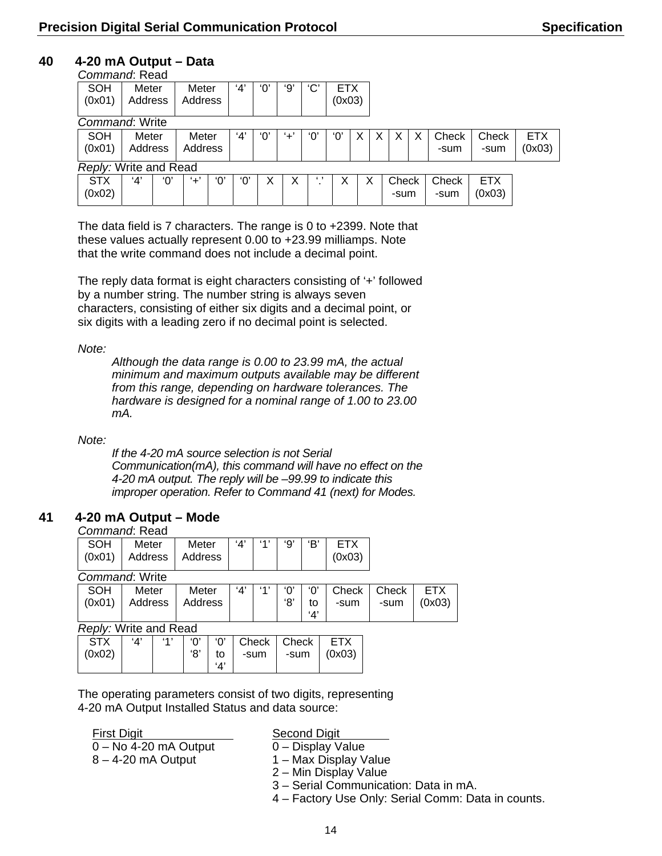### **40 4-20 mA Output – Data**

| Command: Read         |         |     |         |     |     |     |              |          |            |  |       |   |       |            |            |
|-----------------------|---------|-----|---------|-----|-----|-----|--------------|----------|------------|--|-------|---|-------|------------|------------|
| SOH                   | Meter   |     | Meter   |     | '4' | 'በ  | '9           | 'C'      | <b>ETX</b> |  |       |   |       |            |            |
| (0x01)                | Address |     | Address |     |     |     |              |          | (0x03)     |  |       |   |       |            |            |
|                       |         |     |         |     |     |     |              |          |            |  |       |   |       |            |            |
| Command: Write        |         |     |         |     |     |     |              |          |            |  |       |   |       |            |            |
| <b>SOH</b>            | Meter   |     | Meter   |     | 4'  | 'Ο' | $+^{\prime}$ | 'Ο       | 'Ο'        |  | X     | X | Check | Check      | <b>ETX</b> |
| (0x01)                | Address |     | Address |     |     |     |              |          |            |  |       |   | -sum  | -sum       | (0x03)     |
| Reply: Write and Read |         |     |         |     |     |     |              |          |            |  |       |   |       |            |            |
| <b>STX</b>            | 4'      | '0' | '+'     | '0' | '0' |     | х            | $\cdots$ |            |  | Check |   | Check | <b>ETX</b> |            |
| (0x02)                |         |     |         |     |     |     |              |          |            |  | -sum  |   | -sum  | (0x03)     |            |
|                       |         |     |         |     |     |     |              |          |            |  |       |   |       |            |            |

The data field is 7 characters. The range is 0 to +2399. Note that these values actually represent 0.00 to +23.99 milliamps. Note that the write command does not include a decimal point.

The reply data format is eight characters consisting of '+' followed by a number string. The number string is always seven characters, consisting of either six digits and a decimal point, or six digits with a leading zero if no decimal point is selected.

*Note:* 

*Although the data range is 0.00 to 23.99 mA, the actual minimum and maximum outputs available may be different from this range, depending on hardware tolerances. The hardware is designed for a nominal range of 1.00 to 23.00 mA.* 

*Note:* 

*If the 4-20 mA source selection is not Serial Communication(mA), this command will have no effect on the 4-20 mA output. The reply will be –99.99 to indicate this improper operation. Refer to Command 41 (next) for Modes.* 

### **41 4-20 mA Output – Mode**

### *Command*: Read

| SOH<br>Meter<br>Meter<br>(0x01)   Address   Address |  |  |  | 'В' | (0x03) |
|-----------------------------------------------------|--|--|--|-----|--------|
|-----------------------------------------------------|--|--|--|-----|--------|

*Command*: Write

| SOH<br>(0x01) | Meter<br>Address   Address | Meter | 'Δ' | 41 | '∩'<br>'8' | 'Δ' | $'0'$ Check   Check  <br>-sum | -sum | <b>ETX</b><br>(0x03) |
|---------------|----------------------------|-------|-----|----|------------|-----|-------------------------------|------|----------------------|
|               | Reply: Write and Read      |       |     |    |            |     |                               |      |                      |

| <b>STX</b> | $\Delta'$ | (4) | '∩' |    |      | $\mid$ '0' Check   Check |        |
|------------|-----------|-----|-----|----|------|--------------------------|--------|
| (0x02)     |           |     | '8' | to | -sum | -sum                     | (0x03) |
|            |           |     |     |    |      |                          |        |

The operating parameters consist of two digits, representing 4-20 mA Output Installed Status and data source:

### First Digit Second Digit

- $\overline{0 -$  No 4-20 mA Output  $\overline{0 -}$  Display Value
- 8 4-20 mA Output 1 Max Display Value
	- 2 Min Display Value
	- 3 Serial Communication: Data in mA.
	- 4 Factory Use Only: Serial Comm: Data in counts.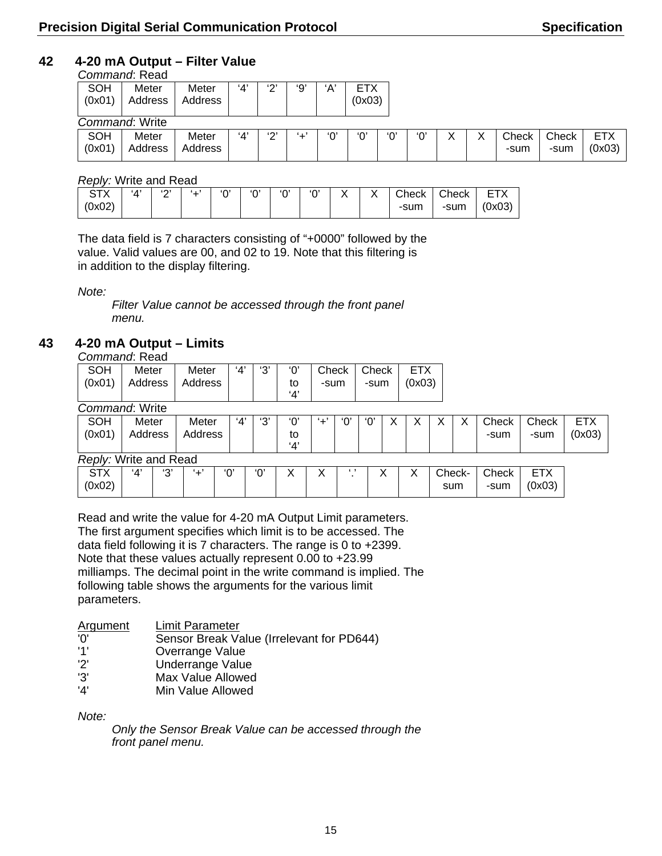### **42 4-20 mA Output – Filter Value**

|                      | Command: Read    |                  |     |        |     |          |                      |     |     |  |               |               |                      |
|----------------------|------------------|------------------|-----|--------|-----|----------|----------------------|-----|-----|--|---------------|---------------|----------------------|
| <b>SOH</b><br>(0x01) | Meter<br>Address | Meter<br>Address | 4'  | $\sim$ | '9' | ʻA'      | <b>ETX</b><br>(0x03) |     |     |  |               |               |                      |
|                      | Command: Write   |                  |     |        |     |          |                      |     |     |  |               |               |                      |
| <b>SOH</b><br>(0x01) | Meter<br>Address | Meter<br>Address | '4' | (0, 1) | . . | $\Omega$ | ٬∩٬                  | '∩' | '∩' |  | Check<br>-sum | Check<br>-sum | <b>ETX</b><br>(0x03) |

#### *Reply:* Write and Read

| ∧ו ت<br>(0x02) | $^{\prime}$ A $^{\prime}$ | (0)<br>- | . | $\Omega$ | $\Omega$ | 'በ' | ʻ0' | $\checkmark$ | $\checkmark$<br>,, | Check<br>-sum | Check<br>-sum | <b>FTY</b><br>(0x03) |
|----------------|---------------------------|----------|---|----------|----------|-----|-----|--------------|--------------------|---------------|---------------|----------------------|
|                |                           |          |   |          |          |     |     |              |                    |               |               |                      |

The data field is 7 characters consisting of "+0000" followed by the value. Valid values are 00, and 02 to 19. Note that this filtering is in addition to the display filtering.

*Note:* 

*Filter Value cannot be accessed through the front panel menu.* 

### **43 4-20 mA Output – Limits**

*Command*: Read

| <b>SOH</b> | Meter                      | Meter | $'4'$   '3' | '∩' | Check Check |      | ETX    |
|------------|----------------------------|-------|-------------|-----|-------------|------|--------|
|            | $(0x01)$ Address   Address |       |             | to  | -sum        | -sum | (0x03) |
|            |                            |       |             |     |             |      |        |
| $\sim$     | .                          |       |             |     |             |      |        |

*Command*: Write

| <b>SOH</b><br>(0x01)  | Meter<br>Address |        | Meter<br>Address | 4'  | 'ვ' | 'Ο'<br>to<br>4' | '+' | $\Omega'$ | 'ዐ' | v |     |        | Check<br>-sum | Check<br>-sum        | <b>ETX</b><br>(0x03) |
|-----------------------|------------------|--------|------------------|-----|-----|-----------------|-----|-----------|-----|---|-----|--------|---------------|----------------------|----------------------|
| Reply: Write and Read |                  |        |                  |     |     |                 |     |           |     |   |     |        |               |                      |                      |
| <b>STX</b><br>(0x02)  | '4'              | (0, 1) | .                | '0' | ʻ0' | ◡               |     | . .       |     |   | sum | Check- | Check<br>-sum | <b>ETX</b><br>(0x03) |                      |

Read and write the value for 4-20 mA Output Limit parameters. The first argument specifies which limit is to be accessed. The data field following it is 7 characters. The range is 0 to +2399. Note that these values actually represent 0.00 to +23.99 milliamps. The decimal point in the write command is implied. The following table shows the arguments for the various limit parameters.

| <b>Argument</b> | Limit Parameter                           |
|-----------------|-------------------------------------------|
| 'ח'             | Sensor Break Value (Irrelevant for PD644) |
| '1'             | Overrange Value                           |
| 'ר'             | Underrange Value                          |
| '3'             | Max Value Allowed                         |
| '4'             | Min Value Allowed                         |

*Note:* 

*Only the Sensor Break Value can be accessed through the front panel menu.*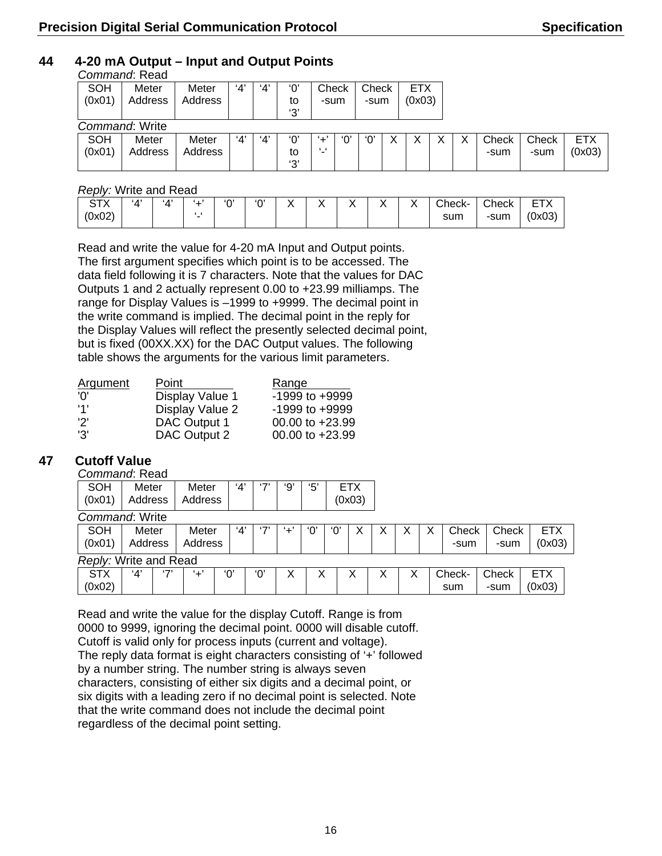ETX (0x03)

 $X \mid$  Check -sum

Check -sum

### **44 4-20 mA Output – Input and Output Points**

|        | Command: Read  |         |     |     |               |       |       |            |   |
|--------|----------------|---------|-----|-----|---------------|-------|-------|------------|---|
| SOH    | Meter          | Meter   | '4' | '4' | 'ቦ'           | Check | Check | <b>ETX</b> |   |
| (0x01) | Address        | Address |     |     | to            | -sum  | -sum  | (0x03)     |   |
|        |                |         |     |     | $^{\prime}3'$ |       |       |            |   |
|        | Command: Write |         |     |     |               |       |       |            |   |
| SOH    | Meter          | Meter   | '4' | 'Δ' | 'ቦ'           | '⊥'   | 'ዐ'   |            | X |
| (0x01) | Address        | Address |     |     | to            | "-'   |       |            |   |

### *Reply:* Write and Read

| T<br>~<br>$\sqrt{ }$ | $\cdot$ $\Lambda$ <sup>+</sup> | $^{\prime}$ $\Lambda$ <sup><math>\prime</math></sup> |                          | $\sim$ | $\sim$ | $\checkmark$ | $\sqrt{}$<br>. . | $\cdot$<br>. . | Check- | $C$ heck   | -- 1<br>-        |
|----------------------|--------------------------------|------------------------------------------------------|--------------------------|--------|--------|--------------|------------------|----------------|--------|------------|------------------|
| ∖מ∩∿∩<br>UAUZ 1      |                                |                                                      | $\overline{\phantom{a}}$ |        |        |              |                  |                | sum    | -sum<br>-- | (0.02)<br>ַיכטאָ |

'3'

Read and write the value for 4-20 mA Input and Output points. The first argument specifies which point is to be accessed. The data field following it is 7 characters. Note that the values for DAC Outputs 1 and 2 actually represent 0.00 to +23.99 milliamps. The range for Display Values is –1999 to +9999. The decimal point in the write command is implied. The decimal point in the reply for the Display Values will reflect the presently selected decimal point, but is fixed (00XX.XX) for the DAC Output values. The following table shows the arguments for the various limit parameters.

| <b>Argument</b> | Point               | Range              |
|-----------------|---------------------|--------------------|
| 'ח'             | Display Value 1     | $-1999$ to $+9999$ |
| '1'             | Display Value 2     | $-1999$ to $+9999$ |
| יפי             | <b>DAC Output 1</b> | 00.00 to +23.99    |
| '3'             | DAC Output 2        | 00.00 to +23.99    |

### **47 Cutoff Value**

*Command*: Read

| <b>SOH</b>            | Meter   |     | Meter   |     | '4' | $\sim$  | ʻ9' | '5' |     | <b>ETX</b> |   |   |        |       |            |  |
|-----------------------|---------|-----|---------|-----|-----|---------|-----|-----|-----|------------|---|---|--------|-------|------------|--|
| (0x01)                | Address |     | Address |     |     |         |     |     |     | (0x03)     |   |   |        |       |            |  |
| Command: Write        |         |     |         |     |     |         |     |     |     |            |   |   |        |       |            |  |
| SOH                   | Meter   |     | Meter   |     | '4' | $5 - 7$ | '+' | '0' | ʻOʻ | х          | Х |   | Check  | Check | <b>ETX</b> |  |
| (0x01)                | Address |     | Address |     |     |         |     |     |     |            |   |   | -sum   | -sum  | (0x03)     |  |
| Reply: Write and Read |         |     |         |     |     |         |     |     |     |            |   |   |        |       |            |  |
| <b>STX</b>            | 4'      | (7) | '+'     | '0' |     | '0'     | х   | Х   |     | х          | Х | Χ | Check- | Check | <b>ETX</b> |  |
| (0x02)                |         |     |         |     |     |         |     |     |     |            |   |   | sum    | -sum  | (0x03)     |  |

Read and write the value for the display Cutoff. Range is from 0000 to 9999, ignoring the decimal point. 0000 will disable cutoff. Cutoff is valid only for process inputs (current and voltage). The reply data format is eight characters consisting of '+' followed by a number string. The number string is always seven characters, consisting of either six digits and a decimal point, or six digits with a leading zero if no decimal point is selected. Note that the write command does not include the decimal point regardless of the decimal point setting.